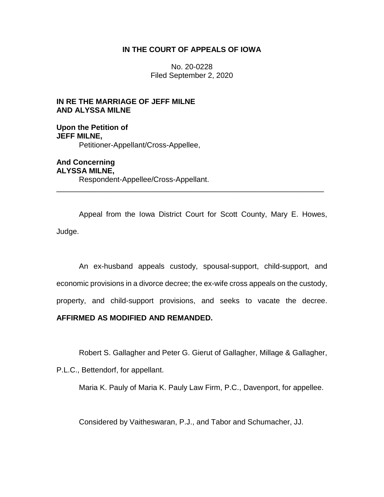### **IN THE COURT OF APPEALS OF IOWA**

No. 20-0228 Filed September 2, 2020

# **IN RE THE MARRIAGE OF JEFF MILNE AND ALYSSA MILNE**

**Upon the Petition of JEFF MILNE,** Petitioner-Appellant/Cross-Appellee,

**And Concerning ALYSSA MILNE,** Respondent-Appellee/Cross-Appellant.

Appeal from the Iowa District Court for Scott County, Mary E. Howes, Judge.

\_\_\_\_\_\_\_\_\_\_\_\_\_\_\_\_\_\_\_\_\_\_\_\_\_\_\_\_\_\_\_\_\_\_\_\_\_\_\_\_\_\_\_\_\_\_\_\_\_\_\_\_\_\_\_\_\_\_\_\_\_\_\_\_

An ex-husband appeals custody, spousal-support, child-support, and economic provisions in a divorce decree; the ex-wife cross appeals on the custody, property, and child-support provisions, and seeks to vacate the decree.

# **AFFIRMED AS MODIFIED AND REMANDED.**

Robert S. Gallagher and Peter G. Gierut of Gallagher, Millage & Gallagher,

P.L.C., Bettendorf, for appellant.

Maria K. Pauly of Maria K. Pauly Law Firm, P.C., Davenport, for appellee.

Considered by Vaitheswaran, P.J., and Tabor and Schumacher, JJ.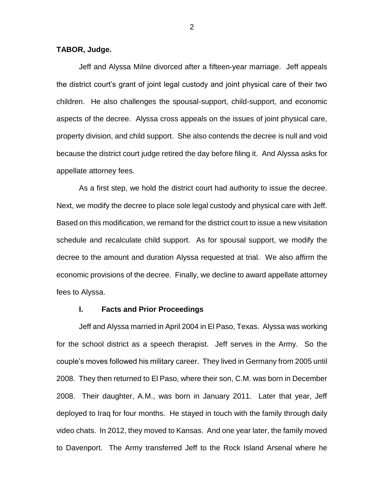#### **TABOR, Judge.**

Jeff and Alyssa Milne divorced after a fifteen-year marriage. Jeff appeals the district court's grant of joint legal custody and joint physical care of their two children. He also challenges the spousal-support, child-support, and economic aspects of the decree. Alyssa cross appeals on the issues of joint physical care, property division, and child support. She also contends the decree is null and void because the district court judge retired the day before filing it. And Alyssa asks for appellate attorney fees.

As a first step, we hold the district court had authority to issue the decree. Next, we modify the decree to place sole legal custody and physical care with Jeff. Based on this modification, we remand for the district court to issue a new visitation schedule and recalculate child support. As for spousal support, we modify the decree to the amount and duration Alyssa requested at trial. We also affirm the economic provisions of the decree. Finally, we decline to award appellate attorney fees to Alyssa.

#### **I. Facts and Prior Proceedings**

Jeff and Alyssa married in April 2004 in El Paso, Texas. Alyssa was working for the school district as a speech therapist. Jeff serves in the Army. So the couple's moves followed his military career. They lived in Germany from 2005 until 2008. They then returned to El Paso, where their son, C.M. was born in December 2008. Their daughter, A.M., was born in January 2011. Later that year, Jeff deployed to Iraq for four months. He stayed in touch with the family through daily video chats. In 2012, they moved to Kansas. And one year later, the family moved to Davenport. The Army transferred Jeff to the Rock Island Arsenal where he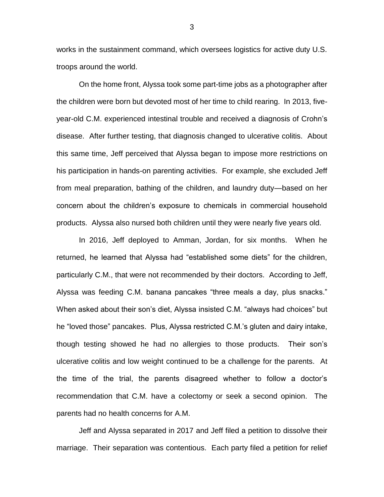works in the sustainment command, which oversees logistics for active duty U.S. troops around the world.

On the home front, Alyssa took some part-time jobs as a photographer after the children were born but devoted most of her time to child rearing. In 2013, fiveyear-old C.M. experienced intestinal trouble and received a diagnosis of Crohn's disease. After further testing, that diagnosis changed to ulcerative colitis. About this same time, Jeff perceived that Alyssa began to impose more restrictions on his participation in hands-on parenting activities. For example, she excluded Jeff from meal preparation, bathing of the children, and laundry duty—based on her concern about the children's exposure to chemicals in commercial household products. Alyssa also nursed both children until they were nearly five years old.

In 2016, Jeff deployed to Amman, Jordan, for six months. When he returned, he learned that Alyssa had "established some diets" for the children, particularly C.M., that were not recommended by their doctors. According to Jeff, Alyssa was feeding C.M. banana pancakes "three meals a day, plus snacks." When asked about their son's diet, Alyssa insisted C.M. "always had choices" but he "loved those" pancakes. Plus, Alyssa restricted C.M.'s gluten and dairy intake, though testing showed he had no allergies to those products. Their son's ulcerative colitis and low weight continued to be a challenge for the parents. At the time of the trial, the parents disagreed whether to follow a doctor's recommendation that C.M. have a colectomy or seek a second opinion. The parents had no health concerns for A.M.

Jeff and Alyssa separated in 2017 and Jeff filed a petition to dissolve their marriage. Their separation was contentious. Each party filed a petition for relief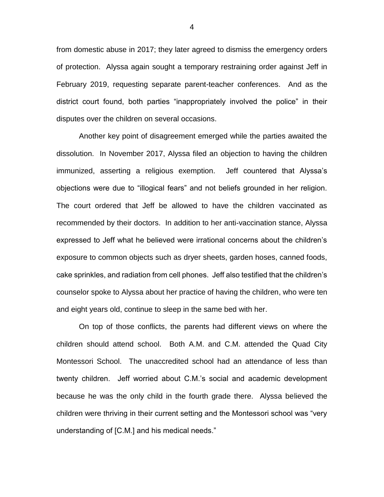from domestic abuse in 2017; they later agreed to dismiss the emergency orders of protection. Alyssa again sought a temporary restraining order against Jeff in February 2019, requesting separate parent-teacher conferences. And as the district court found, both parties "inappropriately involved the police" in their disputes over the children on several occasions.

Another key point of disagreement emerged while the parties awaited the dissolution. In November 2017, Alyssa filed an objection to having the children immunized, asserting a religious exemption. Jeff countered that Alyssa's objections were due to "illogical fears" and not beliefs grounded in her religion. The court ordered that Jeff be allowed to have the children vaccinated as recommended by their doctors. In addition to her anti-vaccination stance, Alyssa expressed to Jeff what he believed were irrational concerns about the children's exposure to common objects such as dryer sheets, garden hoses, canned foods, cake sprinkles, and radiation from cell phones. Jeff also testified that the children's counselor spoke to Alyssa about her practice of having the children, who were ten and eight years old, continue to sleep in the same bed with her.

On top of those conflicts, the parents had different views on where the children should attend school. Both A.M. and C.M. attended the Quad City Montessori School. The unaccredited school had an attendance of less than twenty children. Jeff worried about C.M.'s social and academic development because he was the only child in the fourth grade there. Alyssa believed the children were thriving in their current setting and the Montessori school was "very understanding of [C.M.] and his medical needs."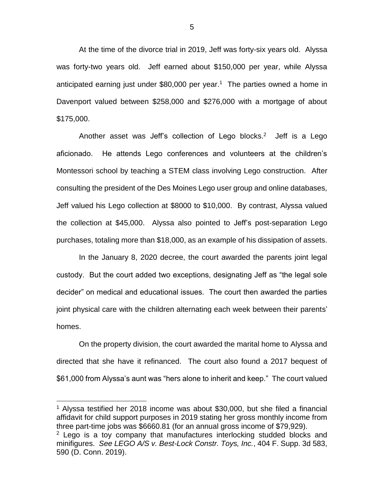At the time of the divorce trial in 2019, Jeff was forty-six years old. Alyssa was forty-two years old. Jeff earned about \$150,000 per year, while Alyssa anticipated earning just under \$80,000 per year.<sup>1</sup> The parties owned a home in Davenport valued between \$258,000 and \$276,000 with a mortgage of about \$175,000.

Another asset was Jeff's collection of Lego blocks. $2$  Jeff is a Lego aficionado. He attends Lego conferences and volunteers at the children's Montessori school by teaching a STEM class involving Lego construction. After consulting the president of the Des Moines Lego user group and online databases, Jeff valued his Lego collection at \$8000 to \$10,000. By contrast, Alyssa valued the collection at \$45,000. Alyssa also pointed to Jeff's post-separation Lego purchases, totaling more than \$18,000, as an example of his dissipation of assets.

In the January 8, 2020 decree, the court awarded the parents joint legal custody. But the court added two exceptions, designating Jeff as "the legal sole decider" on medical and educational issues. The court then awarded the parties joint physical care with the children alternating each week between their parents' homes.

On the property division, the court awarded the marital home to Alyssa and directed that she have it refinanced. The court also found a 2017 bequest of \$61,000 from Alyssa's aunt was "hers alone to inherit and keep." The court valued

 $\overline{a}$ 

<sup>&</sup>lt;sup>1</sup> Alyssa testified her 2018 income was about \$30,000, but she filed a financial affidavit for child support purposes in 2019 stating her gross monthly income from three part-time jobs was \$6660.81 (for an annual gross income of \$79,929).

 $2$  Lego is a toy company that manufactures interlocking studded blocks and minifigures. *See LEGO A/S v. Best-Lock Constr. Toys, Inc.*, 404 F. Supp. 3d 583, 590 (D. Conn. 2019).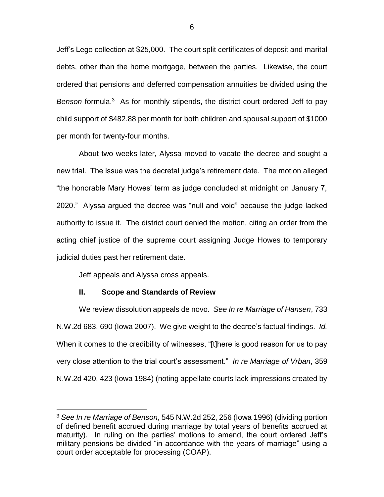Jeff's Lego collection at \$25,000. The court split certificates of deposit and marital debts, other than the home mortgage, between the parties. Likewise, the court ordered that pensions and deferred compensation annuities be divided using the Benson formula.<sup>3</sup> As for monthly stipends, the district court ordered Jeff to pay child support of \$482.88 per month for both children and spousal support of \$1000 per month for twenty-four months.

About two weeks later, Alyssa moved to vacate the decree and sought a new trial. The issue was the decretal judge's retirement date. The motion alleged "the honorable Mary Howes' term as judge concluded at midnight on January 7, 2020." Alyssa argued the decree was "null and void" because the judge lacked authority to issue it. The district court denied the motion, citing an order from the acting chief justice of the supreme court assigning Judge Howes to temporary judicial duties past her retirement date.

Jeff appeals and Alyssa cross appeals.

 $\overline{a}$ 

# **II. Scope and Standards of Review**

We review dissolution appeals de novo. *See In re Marriage of Hansen*, 733 N.W.2d 683, 690 (Iowa 2007). We give weight to the decree's factual findings. *Id.* When it comes to the credibility of witnesses, "[t]here is good reason for us to pay very close attention to the trial court's assessment." *In re Marriage of Vrban*, 359 N.W.2d 420, 423 (Iowa 1984) (noting appellate courts lack impressions created by

<sup>3</sup> *See In re Marriage of Benson*, 545 N.W.2d 252, 256 (Iowa 1996) (dividing portion of defined benefit accrued during marriage by total years of benefits accrued at maturity). In ruling on the parties' motions to amend, the court ordered Jeff's military pensions be divided "in accordance with the years of marriage" using a court order acceptable for processing (COAP).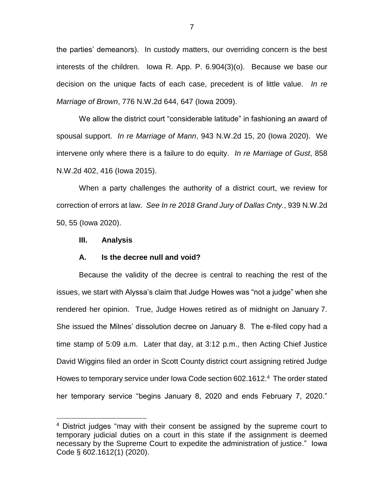the parties' demeanors). In custody matters, our overriding concern is the best interests of the children. Iowa R. App. P. 6.904(3)(o). Because we base our decision on the unique facts of each case, precedent is of little value. *In re Marriage of Brown*, 776 N.W.2d 644, 647 (Iowa 2009).

We allow the district court "considerable latitude" in fashioning an award of spousal support. *In re Marriage of Mann*, 943 N.W.2d 15, 20 (Iowa 2020). We intervene only where there is a failure to do equity. *In re Marriage of Gust*, 858 N.W.2d 402, 416 (Iowa 2015).

When a party challenges the authority of a district court, we review for correction of errors at law. *See In re 2018 Grand Jury of Dallas Cnty.*, 939 N.W.2d 50, 55 (Iowa 2020).

#### **III. Analysis**

 $\overline{a}$ 

#### **A. Is the decree null and void?**

Because the validity of the decree is central to reaching the rest of the issues, we start with Alyssa's claim that Judge Howes was "not a judge" when she rendered her opinion. True, Judge Howes retired as of midnight on January 7. She issued the Milnes' dissolution decree on January 8. The e-filed copy had a time stamp of 5:09 a.m. Later that day, at 3:12 p.m., then Acting Chief Justice David Wiggins filed an order in Scott County district court assigning retired Judge Howes to temporary service under Iowa Code section 602.1612.<sup>4</sup> The order stated her temporary service "begins January 8, 2020 and ends February 7, 2020."

<sup>&</sup>lt;sup>4</sup> District judges "may with their consent be assigned by the supreme court to temporary judicial duties on a court in this state if the assignment is deemed necessary by the Supreme Court to expedite the administration of justice." Iowa Code § 602.1612(1) (2020).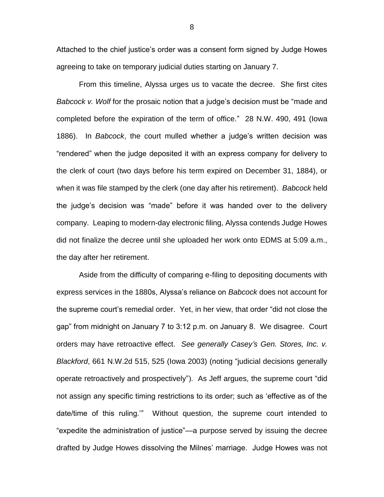Attached to the chief justice's order was a consent form signed by Judge Howes agreeing to take on temporary judicial duties starting on January 7.

From this timeline, Alyssa urges us to vacate the decree. She first cites *Babcock v. Wolf* for the prosaic notion that a judge's decision must be "made and completed before the expiration of the term of office." 28 N.W. 490, 491 (Iowa 1886). In *Babcock*, the court mulled whether a judge's written decision was "rendered" when the judge deposited it with an express company for delivery to the clerk of court (two days before his term expired on December 31, 1884), or when it was file stamped by the clerk (one day after his retirement). *Babcock* held the judge's decision was "made" before it was handed over to the delivery company. Leaping to modern-day electronic filing, Alyssa contends Judge Howes did not finalize the decree until she uploaded her work onto EDMS at 5:09 a.m., the day after her retirement.

Aside from the difficulty of comparing e-filing to depositing documents with express services in the 1880s, Alyssa's reliance on *Babcock* does not account for the supreme court's remedial order. Yet, in her view, that order "did not close the gap" from midnight on January 7 to 3:12 p.m. on January 8. We disagree. Court orders may have retroactive effect. *See generally Casey's Gen. Stores, Inc. v. Blackford*, 661 N.W.2d 515, 525 (Iowa 2003) (noting "judicial decisions generally operate retroactively and prospectively"). As Jeff argues, the supreme court "did not assign any specific timing restrictions to its order; such as 'effective as of the date/time of this ruling.'" Without question, the supreme court intended to "expedite the administration of justice"—a purpose served by issuing the decree drafted by Judge Howes dissolving the Milnes' marriage. Judge Howes was not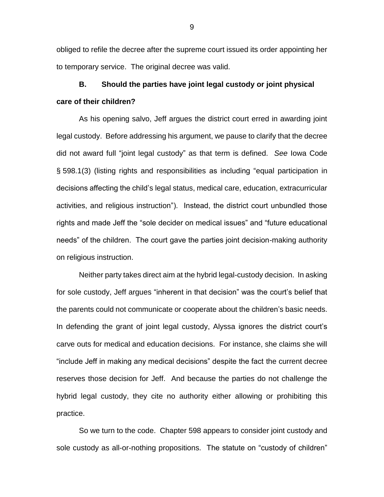obliged to refile the decree after the supreme court issued its order appointing her to temporary service. The original decree was valid.

**B. Should the parties have joint legal custody or joint physical care of their children?**

As his opening salvo, Jeff argues the district court erred in awarding joint legal custody. Before addressing his argument, we pause to clarify that the decree did not award full "joint legal custody" as that term is defined. *See* Iowa Code § 598.1(3) (listing rights and responsibilities as including "equal participation in decisions affecting the child's legal status, medical care, education, extracurricular activities, and religious instruction"). Instead, the district court unbundled those rights and made Jeff the "sole decider on medical issues" and "future educational needs" of the children. The court gave the parties joint decision-making authority on religious instruction.

Neither party takes direct aim at the hybrid legal-custody decision. In asking for sole custody, Jeff argues "inherent in that decision" was the court's belief that the parents could not communicate or cooperate about the children's basic needs. In defending the grant of joint legal custody, Alyssa ignores the district court's carve outs for medical and education decisions. For instance, she claims she will "include Jeff in making any medical decisions" despite the fact the current decree reserves those decision for Jeff. And because the parties do not challenge the hybrid legal custody, they cite no authority either allowing or prohibiting this practice.

So we turn to the code. Chapter 598 appears to consider joint custody and sole custody as all-or-nothing propositions. The statute on "custody of children"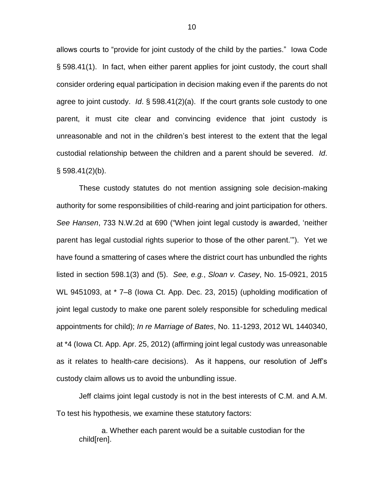allows courts to "provide for joint custody of the child by the parties." Iowa Code § 598.41(1). In fact, when either parent applies for joint custody, the court shall consider ordering equal participation in decision making even if the parents do not agree to joint custody. *Id*. § 598.41(2)(a). If the court grants sole custody to one parent, it must cite clear and convincing evidence that joint custody is unreasonable and not in the children's best interest to the extent that the legal custodial relationship between the children and a parent should be severed. *Id*.  $\S$  598.41(2)(b).

These custody statutes do not mention assigning sole decision-making authority for some responsibilities of child-rearing and joint participation for others. *See Hansen*, 733 N.W.2d at 690 ("When joint legal custody is awarded, 'neither parent has legal custodial rights superior to those of the other parent.'"). Yet we have found a smattering of cases where the district court has unbundled the rights listed in section 598.1(3) and (5). *See, e.g.*, *Sloan v. Casey*, No. 15-0921, 2015 WL 9451093, at \* 7–8 (Iowa Ct. App. Dec. 23, 2015) (upholding modification of joint legal custody to make one parent solely responsible for scheduling medical appointments for child); *In re Marriage of Bates*, No. 11-1293, 2012 WL 1440340, at \*4 (Iowa Ct. App. Apr. 25, 2012) (affirming joint legal custody was unreasonable as it relates to health-care decisions). As it happens, our resolution of Jeff's custody claim allows us to avoid the unbundling issue.

Jeff claims joint legal custody is not in the best interests of C.M. and A.M. To test his hypothesis, we examine these statutory factors:

a. Whether each parent would be a suitable custodian for the child[ren].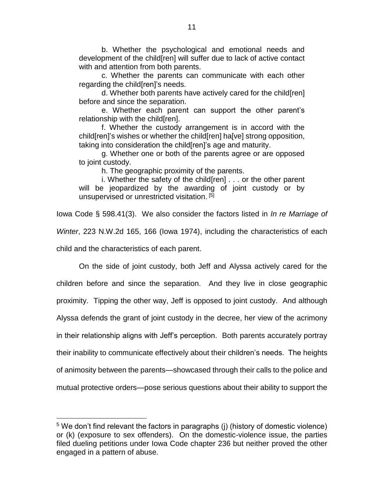b. Whether the psychological and emotional needs and development of the child[ren] will suffer due to lack of active contact with and attention from both parents.

c. Whether the parents can communicate with each other regarding the child[ren]'s needs.

d. Whether both parents have actively cared for the child[ren] before and since the separation.

e. Whether each parent can support the other parent's relationship with the child[ren].

f. Whether the custody arrangement is in accord with the child[ren]'s wishes or whether the child[ren] ha[ve] strong opposition, taking into consideration the child[ren]'s age and maturity.

g. Whether one or both of the parents agree or are opposed to joint custody.

h. The geographic proximity of the parents.

i. Whether the safety of the child[ren] . . . or the other parent will be jeopardized by the awarding of joint custody or by unsupervised or unrestricted visitation. [5]

Iowa Code § 598.41(3). We also consider the factors listed in *In re Marriage of Winter*, 223 N.W.2d 165, 166 (Iowa 1974), including the characteristics of each child and the characteristics of each parent.

On the side of joint custody, both Jeff and Alyssa actively cared for the children before and since the separation. And they live in close geographic proximity. Tipping the other way, Jeff is opposed to joint custody. And although Alyssa defends the grant of joint custody in the decree, her view of the acrimony in their relationship aligns with Jeff's perception. Both parents accurately portray their inability to communicate effectively about their children's needs. The heights of animosity between the parents—showcased through their calls to the police and mutual protective orders—pose serious questions about their ability to support the

 $\overline{a}$ 

 $5$  We don't find relevant the factors in paragraphs (j) (history of domestic violence) or (k) (exposure to sex offenders). On the domestic-violence issue, the parties filed dueling petitions under Iowa Code chapter 236 but neither proved the other engaged in a pattern of abuse.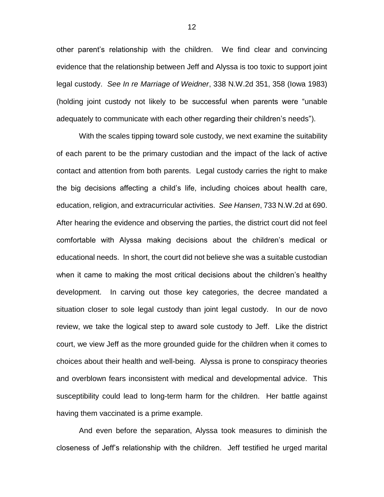other parent's relationship with the children. We find clear and convincing evidence that the relationship between Jeff and Alyssa is too toxic to support joint legal custody. *See In re Marriage of Weidner*, 338 N.W.2d 351, 358 (Iowa 1983) (holding joint custody not likely to be successful when parents were "unable adequately to communicate with each other regarding their children's needs").

With the scales tipping toward sole custody, we next examine the suitability of each parent to be the primary custodian and the impact of the lack of active contact and attention from both parents. Legal custody carries the right to make the big decisions affecting a child's life, including choices about health care, education, religion, and extracurricular activities. *See Hansen*, 733 N.W.2d at 690. After hearing the evidence and observing the parties, the district court did not feel comfortable with Alyssa making decisions about the children's medical or educational needs. In short, the court did not believe she was a suitable custodian when it came to making the most critical decisions about the children's healthy development. In carving out those key categories, the decree mandated a situation closer to sole legal custody than joint legal custody. In our de novo review, we take the logical step to award sole custody to Jeff. Like the district court, we view Jeff as the more grounded guide for the children when it comes to choices about their health and well-being. Alyssa is prone to conspiracy theories and overblown fears inconsistent with medical and developmental advice. This susceptibility could lead to long-term harm for the children. Her battle against having them vaccinated is a prime example.

And even before the separation, Alyssa took measures to diminish the closeness of Jeff's relationship with the children. Jeff testified he urged marital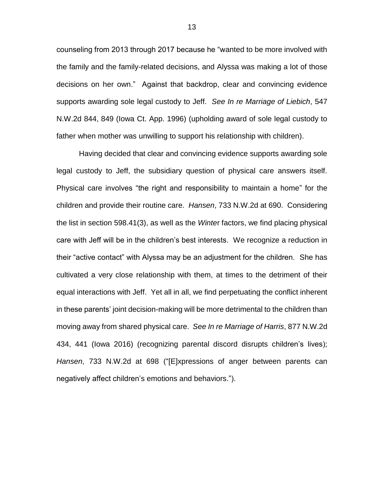counseling from 2013 through 2017 because he "wanted to be more involved with the family and the family-related decisions, and Alyssa was making a lot of those decisions on her own." Against that backdrop, clear and convincing evidence supports awarding sole legal custody to Jeff. *See In re Marriage of Liebich*, 547 N.W.2d 844, 849 (Iowa Ct. App. 1996) (upholding award of sole legal custody to father when mother was unwilling to support his relationship with children).

Having decided that clear and convincing evidence supports awarding sole legal custody to Jeff, the subsidiary question of physical care answers itself. Physical care involves "the right and responsibility to maintain a home" for the children and provide their routine care. *Hansen*, 733 N.W.2d at 690. Considering the list in section 598.41(3), as well as the *Winte*r factors, we find placing physical care with Jeff will be in the children's best interests. We recognize a reduction in their "active contact" with Alyssa may be an adjustment for the children. She has cultivated a very close relationship with them, at times to the detriment of their equal interactions with Jeff. Yet all in all, we find perpetuating the conflict inherent in these parents' joint decision-making will be more detrimental to the children than moving away from shared physical care. *See In re Marriage of Harris*, 877 N.W.2d 434, 441 (Iowa 2016) (recognizing parental discord disrupts children's lives); *Hansen*, 733 N.W.2d at 698 ("[E]xpressions of anger between parents can negatively affect children's emotions and behaviors.").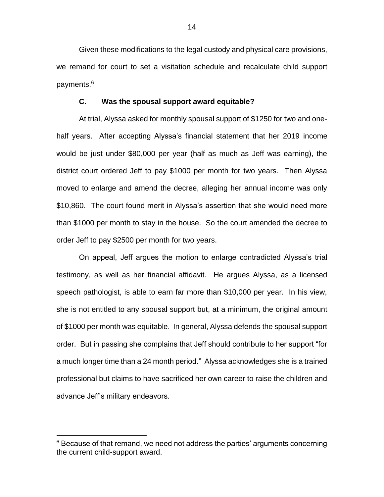Given these modifications to the legal custody and physical care provisions, we remand for court to set a visitation schedule and recalculate child support payments.<sup>6</sup>

#### **C. Was the spousal support award equitable?**

At trial, Alyssa asked for monthly spousal support of \$1250 for two and onehalf years. After accepting Alyssa's financial statement that her 2019 income would be just under \$80,000 per year (half as much as Jeff was earning), the district court ordered Jeff to pay \$1000 per month for two years. Then Alyssa moved to enlarge and amend the decree, alleging her annual income was only \$10,860. The court found merit in Alyssa's assertion that she would need more than \$1000 per month to stay in the house. So the court amended the decree to order Jeff to pay \$2500 per month for two years.

On appeal, Jeff argues the motion to enlarge contradicted Alyssa's trial testimony, as well as her financial affidavit. He argues Alyssa, as a licensed speech pathologist, is able to earn far more than \$10,000 per year. In his view, she is not entitled to any spousal support but, at a minimum, the original amount of \$1000 per month was equitable. In general, Alyssa defends the spousal support order. But in passing she complains that Jeff should contribute to her support "for a much longer time than a 24 month period." Alyssa acknowledges she is a trained professional but claims to have sacrificed her own career to raise the children and advance Jeff's military endeavors.

 $\overline{a}$ 

 $6$  Because of that remand, we need not address the parties' arguments concerning the current child-support award.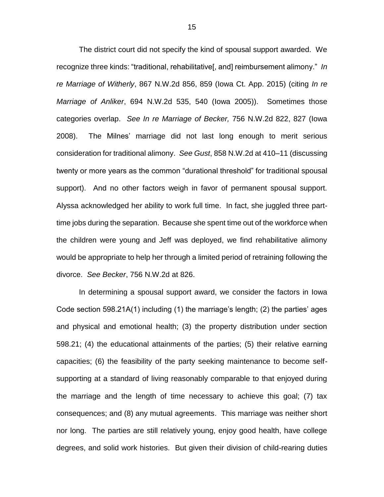The district court did not specify the kind of spousal support awarded. We recognize three kinds: "traditional, rehabilitative[, and] reimbursement alimony." *In re Marriage of Witherly*, 867 N.W.2d 856, 859 (Iowa Ct. App. 2015) (citing *In re Marriage of Anliker*, 694 N.W.2d 535, 540 (Iowa 2005)). Sometimes those categories overlap. *See In re Marriage of Becker,* 756 N.W.2d 822, 827 (Iowa 2008). The Milnes' marriage did not last long enough to merit serious consideration for traditional alimony. *See Gust*, 858 N.W.2d at 410–11 (discussing twenty or more years as the common "durational threshold" for traditional spousal support). And no other factors weigh in favor of permanent spousal support. Alyssa acknowledged her ability to work full time. In fact, she juggled three parttime jobs during the separation. Because she spent time out of the workforce when the children were young and Jeff was deployed, we find rehabilitative alimony would be appropriate to help her through a limited period of retraining following the divorce. *See Becker*, 756 N.W.2d at 826.

In determining a spousal support award, we consider the factors in Iowa Code section 598.21A(1) including (1) the marriage's length; (2) the parties' ages and physical and emotional health; (3) the property distribution under section 598.21; (4) the educational attainments of the parties; (5) their relative earning capacities; (6) the feasibility of the party seeking maintenance to become selfsupporting at a standard of living reasonably comparable to that enjoyed during the marriage and the length of time necessary to achieve this goal; (7) tax consequences; and (8) any mutual agreements. This marriage was neither short nor long. The parties are still relatively young, enjoy good health, have college degrees, and solid work histories. But given their division of child-rearing duties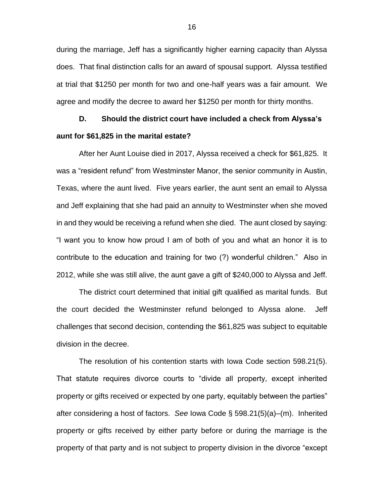during the marriage, Jeff has a significantly higher earning capacity than Alyssa does. That final distinction calls for an award of spousal support. Alyssa testified at trial that \$1250 per month for two and one-half years was a fair amount. We agree and modify the decree to award her \$1250 per month for thirty months.

# **D. Should the district court have included a check from Alyssa's aunt for \$61,825 in the marital estate?**

After her Aunt Louise died in 2017, Alyssa received a check for \$61,825. It was a "resident refund" from Westminster Manor, the senior community in Austin, Texas, where the aunt lived. Five years earlier, the aunt sent an email to Alyssa and Jeff explaining that she had paid an annuity to Westminster when she moved in and they would be receiving a refund when she died. The aunt closed by saying: "I want you to know how proud I am of both of you and what an honor it is to contribute to the education and training for two (?) wonderful children." Also in 2012, while she was still alive, the aunt gave a gift of \$240,000 to Alyssa and Jeff.

The district court determined that initial gift qualified as marital funds. But the court decided the Westminster refund belonged to Alyssa alone. Jeff challenges that second decision, contending the \$61,825 was subject to equitable division in the decree.

The resolution of his contention starts with Iowa Code section 598.21(5). That statute requires divorce courts to "divide all property, except inherited property or gifts received or expected by one party, equitably between the parties" after considering a host of factors. *See* Iowa Code § 598.21(5)(a)–(m). Inherited property or gifts received by either party before or during the marriage is the property of that party and is not subject to property division in the divorce "except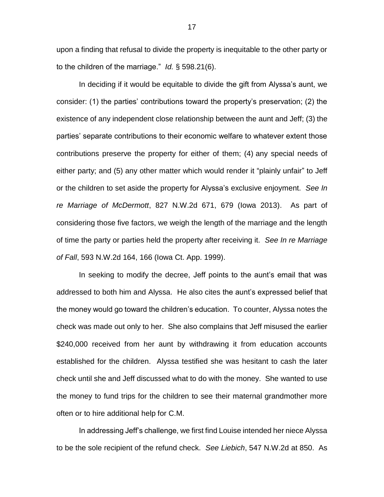upon a finding that refusal to divide the property is inequitable to the other party or to the children of the marriage." *Id.* § 598.21(6).

In deciding if it would be equitable to divide the gift from Alyssa's aunt, we consider: (1) the parties' contributions toward the property's preservation; (2) the existence of any independent close relationship between the aunt and Jeff; (3) the parties' separate contributions to their economic welfare to whatever extent those contributions preserve the property for either of them; (4) any special needs of either party; and (5) any other matter which would render it "plainly unfair" to Jeff or the children to set aside the property for Alyssa's exclusive enjoyment. *See In re Marriage of McDermott*, 827 N.W.2d 671, 679 (Iowa 2013). As part of considering those five factors, we weigh the length of the marriage and the length of time the party or parties held the property after receiving it. *See In re Marriage of Fall*, 593 N.W.2d 164, 166 (Iowa Ct. App. 1999).

In seeking to modify the decree, Jeff points to the aunt's email that was addressed to both him and Alyssa. He also cites the aunt's expressed belief that the money would go toward the children's education. To counter, Alyssa notes the check was made out only to her. She also complains that Jeff misused the earlier \$240,000 received from her aunt by withdrawing it from education accounts established for the children. Alyssa testified she was hesitant to cash the later check until she and Jeff discussed what to do with the money. She wanted to use the money to fund trips for the children to see their maternal grandmother more often or to hire additional help for C.M.

In addressing Jeff's challenge, we first find Louise intended her niece Alyssa to be the sole recipient of the refund check. *See Liebich*, 547 N.W.2d at 850. As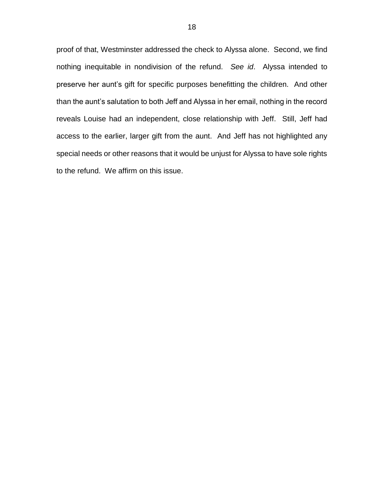proof of that, Westminster addressed the check to Alyssa alone. Second, we find nothing inequitable in nondivision of the refund. *See id*. Alyssa intended to preserve her aunt's gift for specific purposes benefitting the children. And other than the aunt's salutation to both Jeff and Alyssa in her email, nothing in the record reveals Louise had an independent, close relationship with Jeff. Still, Jeff had access to the earlier, larger gift from the aunt. And Jeff has not highlighted any special needs or other reasons that it would be unjust for Alyssa to have sole rights to the refund. We affirm on this issue.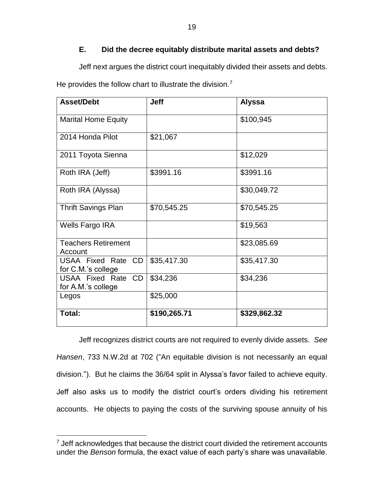# **E. Did the decree equitably distribute marital assets and debts?**

Jeff next argues the district court inequitably divided their assets and debts.

He provides the follow chart to illustrate the division.<sup>7</sup>

| <b>Asset/Debt</b>                        | <b>Jeff</b>  | <b>Alyssa</b> |
|------------------------------------------|--------------|---------------|
| <b>Marital Home Equity</b>               |              | \$100,945     |
| 2014 Honda Pilot                         | \$21,067     |               |
| 2011 Toyota Sienna                       |              | \$12,029      |
| Roth IRA (Jeff)                          | \$3991.16    | \$3991.16     |
| Roth IRA (Alyssa)                        |              | \$30,049.72   |
| <b>Thrift Savings Plan</b>               | \$70,545.25  | \$70,545.25   |
| Wells Fargo IRA                          |              | \$19,563      |
| <b>Teachers Retirement</b><br>Account    |              | \$23,085.69   |
| USAA Fixed Rate CD<br>for C.M.'s college | \$35,417.30  | \$35,417.30   |
| USAA Fixed Rate CD<br>for A.M.'s college | \$34,236     | \$34,236      |
| Legos                                    | \$25,000     |               |
| Total:                                   | \$190,265.71 | \$329,862.32  |

Jeff recognizes district courts are not required to evenly divide assets. *See Hansen*, 733 N.W.2d at 702 ("An equitable division is not necessarily an equal division."). But he claims the 36/64 split in Alyssa's favor failed to achieve equity. Jeff also asks us to modify the district court's orders dividing his retirement accounts. He objects to paying the costs of the surviving spouse annuity of his

 $\overline{a}$ 

 $7$  Jeff acknowledges that because the district court divided the retirement accounts under the *Benson* formula, the exact value of each party's share was unavailable.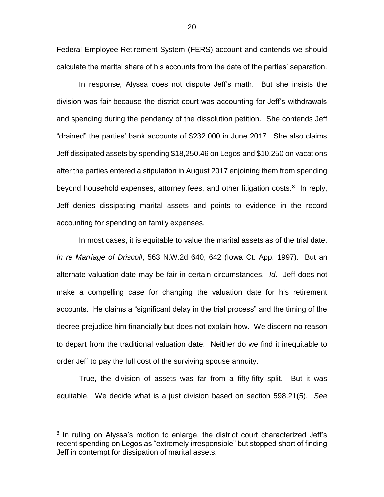Federal Employee Retirement System (FERS) account and contends we should calculate the marital share of his accounts from the date of the parties' separation.

In response, Alyssa does not dispute Jeff's math. But she insists the division was fair because the district court was accounting for Jeff's withdrawals and spending during the pendency of the dissolution petition. She contends Jeff "drained" the parties' bank accounts of \$232,000 in June 2017. She also claims Jeff dissipated assets by spending \$18,250.46 on Legos and \$10,250 on vacations after the parties entered a stipulation in August 2017 enjoining them from spending beyond household expenses, attorney fees, and other litigation costs.<sup>8</sup> In reply, Jeff denies dissipating marital assets and points to evidence in the record accounting for spending on family expenses.

In most cases, it is equitable to value the marital assets as of the trial date. *In re Marriage of Driscoll*, 563 N.W.2d 640, 642 (Iowa Ct. App. 1997). But an alternate valuation date may be fair in certain circumstances. *Id*. Jeff does not make a compelling case for changing the valuation date for his retirement accounts. He claims a "significant delay in the trial process" and the timing of the decree prejudice him financially but does not explain how. We discern no reason to depart from the traditional valuation date. Neither do we find it inequitable to order Jeff to pay the full cost of the surviving spouse annuity.

True, the division of assets was far from a fifty-fifty split. But it was equitable. We decide what is a just division based on section 598.21(5). *See* 

 $\overline{a}$ 

<sup>&</sup>lt;sup>8</sup> In ruling on Alyssa's motion to enlarge, the district court characterized Jeff's recent spending on Legos as "extremely irresponsible" but stopped short of finding Jeff in contempt for dissipation of marital assets.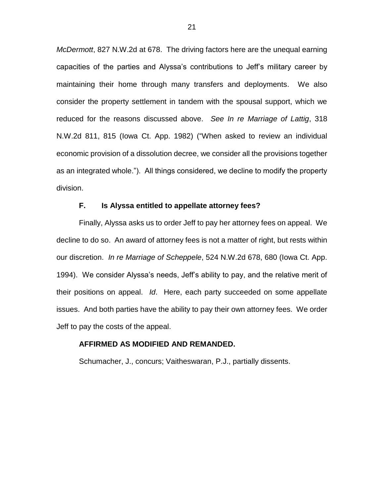*McDermott*, 827 N.W.2d at 678. The driving factors here are the unequal earning capacities of the parties and Alyssa's contributions to Jeff's military career by maintaining their home through many transfers and deployments. We also consider the property settlement in tandem with the spousal support, which we reduced for the reasons discussed above. *See In re Marriage of Lattig*, 318 N.W.2d 811, 815 (Iowa Ct. App. 1982) ("When asked to review an individual economic provision of a dissolution decree, we consider all the provisions together as an integrated whole."). All things considered, we decline to modify the property division.

## **F. Is Alyssa entitled to appellate attorney fees?**

Finally, Alyssa asks us to order Jeff to pay her attorney fees on appeal. We decline to do so. An award of attorney fees is not a matter of right, but rests within our discretion. *In re Marriage of Scheppele*, 524 N.W.2d 678, 680 (Iowa Ct. App. 1994). We consider Alyssa's needs, Jeff's ability to pay, and the relative merit of their positions on appeal. *Id*. Here, each party succeeded on some appellate issues. And both parties have the ability to pay their own attorney fees. We order Jeff to pay the costs of the appeal.

#### **AFFIRMED AS MODIFIED AND REMANDED.**

Schumacher, J., concurs; Vaitheswaran, P.J., partially dissents.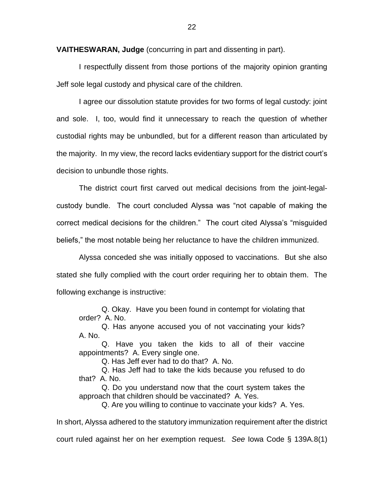**VAITHESWARAN, Judge** (concurring in part and dissenting in part).

I respectfully dissent from those portions of the majority opinion granting Jeff sole legal custody and physical care of the children.

I agree our dissolution statute provides for two forms of legal custody: joint and sole. I, too, would find it unnecessary to reach the question of whether custodial rights may be unbundled, but for a different reason than articulated by the majority. In my view, the record lacks evidentiary support for the district court's decision to unbundle those rights.

The district court first carved out medical decisions from the joint-legalcustody bundle. The court concluded Alyssa was "not capable of making the correct medical decisions for the children." The court cited Alyssa's "misguided beliefs," the most notable being her reluctance to have the children immunized.

Alyssa conceded she was initially opposed to vaccinations. But she also stated she fully complied with the court order requiring her to obtain them. The following exchange is instructive:

Q. Okay. Have you been found in contempt for violating that order? A. No.

Q. Has anyone accused you of not vaccinating your kids? A. No.

Q. Have you taken the kids to all of their vaccine appointments? A. Every single one.

Q. Has Jeff ever had to do that? A. No.

Q. Has Jeff had to take the kids because you refused to do that? A. No.

Q. Do you understand now that the court system takes the approach that children should be vaccinated? A. Yes.

Q. Are you willing to continue to vaccinate your kids? A. Yes.

In short, Alyssa adhered to the statutory immunization requirement after the district

court ruled against her on her exemption request. *See* Iowa Code § 139A.8(1)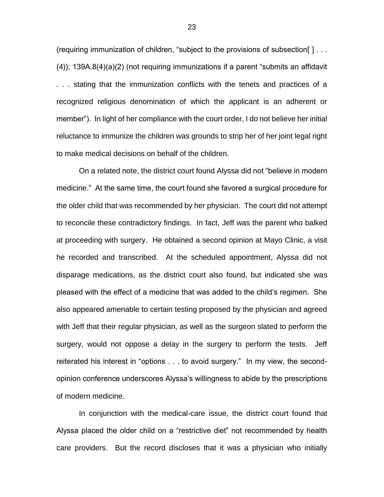(requiring immunization of children, "subject to the provisions of subsection[ ] . . . (4)); 139A.8(4)(a)(2) (not requiring immunizations if a parent "submits an affidavit . . . stating that the immunization conflicts with the tenets and practices of a recognized religious denomination of which the applicant is an adherent or member"). In light of her compliance with the court order, I do not believe her initial reluctance to immunize the children was grounds to strip her of her joint legal right to make medical decisions on behalf of the children.

On a related note, the district court found Alyssa did not "believe in modern medicine." At the same time, the court found she favored a surgical procedure for the older child that was recommended by her physician. The court did not attempt to reconcile these contradictory findings. In fact, Jeff was the parent who balked at proceeding with surgery. He obtained a second opinion at Mayo Clinic, a visit he recorded and transcribed. At the scheduled appointment, Alyssa did not disparage medications, as the district court also found, but indicated she was pleased with the effect of a medicine that was added to the child's regimen. She also appeared amenable to certain testing proposed by the physician and agreed with Jeff that their regular physician, as well as the surgeon slated to perform the surgery, would not oppose a delay in the surgery to perform the tests. Jeff reiterated his interest in "options . . . to avoid surgery." In my view, the secondopinion conference underscores Alyssa's willingness to abide by the prescriptions of modern medicine.

In conjunction with the medical-care issue, the district court found that Alyssa placed the older child on a "restrictive diet" not recommended by health care providers. But the record discloses that it was a physician who initially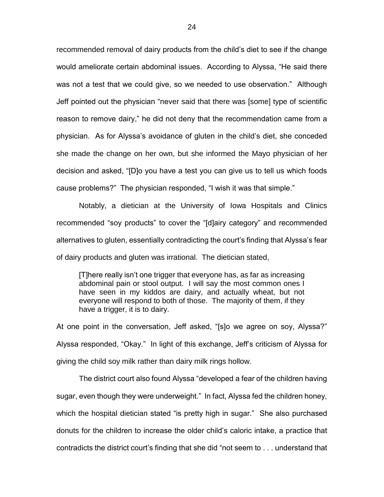recommended removal of dairy products from the child's diet to see if the change would ameliorate certain abdominal issues. According to Alyssa, "He said there was not a test that we could give, so we needed to use observation." Although Jeff pointed out the physician "never said that there was [some] type of scientific reason to remove dairy," he did not deny that the recommendation came from a physician. As for Alyssa's avoidance of gluten in the child's diet, she conceded she made the change on her own, but she informed the Mayo physician of her decision and asked, "[D]o you have a test you can give us to tell us which foods cause problems?" The physician responded, "I wish it was that simple."

Notably, a dietician at the University of Iowa Hospitals and Clinics recommended "soy products" to cover the "[d]airy category" and recommended alternatives to gluten, essentially contradicting the court's finding that Alyssa's fear of dairy products and gluten was irrational. The dietician stated,

[T]here really isn't one trigger that everyone has, as far as increasing abdominal pain or stool output. I will say the most common ones I have seen in my kiddos are dairy, and actually wheat, but not everyone will respond to both of those. The majority of them, if they have a trigger, it is to dairy.

At one point in the conversation, Jeff asked, "[s]o we agree on soy, Alyssa?" Alyssa responded, "Okay." In light of this exchange, Jeff's criticism of Alyssa for giving the child soy milk rather than dairy milk rings hollow.

The district court also found Alyssa "developed a fear of the children having sugar, even though they were underweight." In fact, Alyssa fed the children honey, which the hospital dietician stated "is pretty high in sugar." She also purchased donuts for the children to increase the older child's caloric intake, a practice that contradicts the district court's finding that she did "not seem to . . . understand that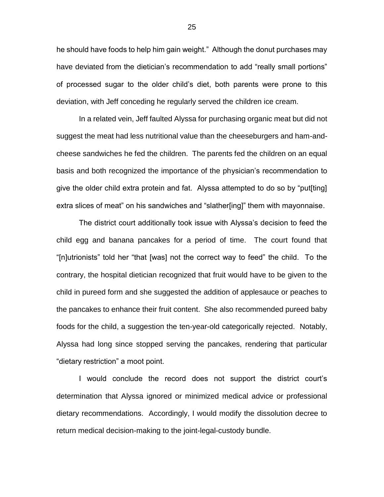he should have foods to help him gain weight." Although the donut purchases may have deviated from the dietician's recommendation to add "really small portions" of processed sugar to the older child's diet, both parents were prone to this deviation, with Jeff conceding he regularly served the children ice cream.

In a related vein, Jeff faulted Alyssa for purchasing organic meat but did not suggest the meat had less nutritional value than the cheeseburgers and ham-andcheese sandwiches he fed the children. The parents fed the children on an equal basis and both recognized the importance of the physician's recommendation to give the older child extra protein and fat. Alyssa attempted to do so by "put[ting] extra slices of meat" on his sandwiches and "slather[ing]" them with mayonnaise.

The district court additionally took issue with Alyssa's decision to feed the child egg and banana pancakes for a period of time. The court found that "[n]utrionists" told her "that [was] not the correct way to feed" the child. To the contrary, the hospital dietician recognized that fruit would have to be given to the child in pureed form and she suggested the addition of applesauce or peaches to the pancakes to enhance their fruit content. She also recommended pureed baby foods for the child, a suggestion the ten-year-old categorically rejected. Notably, Alyssa had long since stopped serving the pancakes, rendering that particular "dietary restriction" a moot point.

I would conclude the record does not support the district court's determination that Alyssa ignored or minimized medical advice or professional dietary recommendations. Accordingly, I would modify the dissolution decree to return medical decision-making to the joint-legal-custody bundle.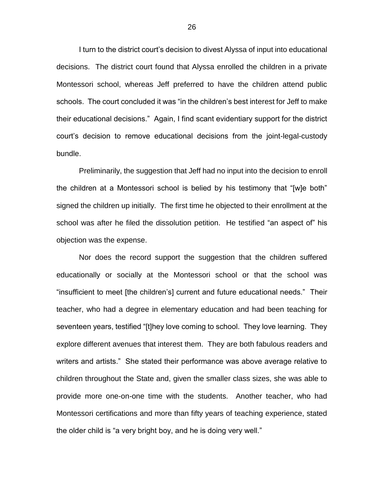I turn to the district court's decision to divest Alyssa of input into educational decisions. The district court found that Alyssa enrolled the children in a private Montessori school, whereas Jeff preferred to have the children attend public schools. The court concluded it was "in the children's best interest for Jeff to make their educational decisions." Again, I find scant evidentiary support for the district court's decision to remove educational decisions from the joint-legal-custody bundle.

Preliminarily, the suggestion that Jeff had no input into the decision to enroll the children at a Montessori school is belied by his testimony that "[w]e both" signed the children up initially. The first time he objected to their enrollment at the school was after he filed the dissolution petition. He testified "an aspect of" his objection was the expense.

Nor does the record support the suggestion that the children suffered educationally or socially at the Montessori school or that the school was "insufficient to meet [the children's] current and future educational needs." Their teacher, who had a degree in elementary education and had been teaching for seventeen years, testified "[t]hey love coming to school. They love learning. They explore different avenues that interest them. They are both fabulous readers and writers and artists." She stated their performance was above average relative to children throughout the State and, given the smaller class sizes, she was able to provide more one-on-one time with the students. Another teacher, who had Montessori certifications and more than fifty years of teaching experience, stated the older child is "a very bright boy, and he is doing very well."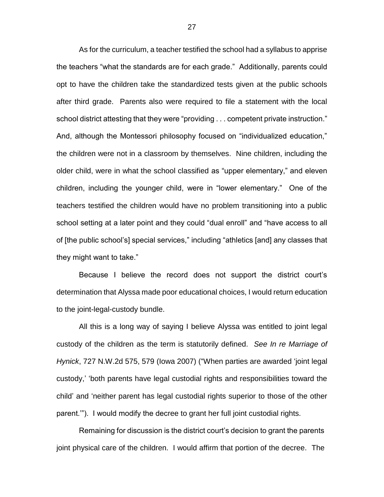As for the curriculum, a teacher testified the school had a syllabus to apprise the teachers "what the standards are for each grade." Additionally, parents could opt to have the children take the standardized tests given at the public schools after third grade. Parents also were required to file a statement with the local school district attesting that they were "providing . . . competent private instruction." And, although the Montessori philosophy focused on "individualized education," the children were not in a classroom by themselves. Nine children, including the older child, were in what the school classified as "upper elementary," and eleven children, including the younger child, were in "lower elementary." One of the teachers testified the children would have no problem transitioning into a public school setting at a later point and they could "dual enroll" and "have access to all of [the public school's] special services," including "athletics [and] any classes that they might want to take."

Because I believe the record does not support the district court's determination that Alyssa made poor educational choices, I would return education to the joint-legal-custody bundle.

All this is a long way of saying I believe Alyssa was entitled to joint legal custody of the children as the term is statutorily defined. *See In re Marriage of Hynick*, 727 N.W.2d 575, 579 (Iowa 2007) ("When parties are awarded 'joint legal custody,' 'both parents have legal custodial rights and responsibilities toward the child' and 'neither parent has legal custodial rights superior to those of the other parent.'"). I would modify the decree to grant her full joint custodial rights.

Remaining for discussion is the district court's decision to grant the parents joint physical care of the children. I would affirm that portion of the decree. The